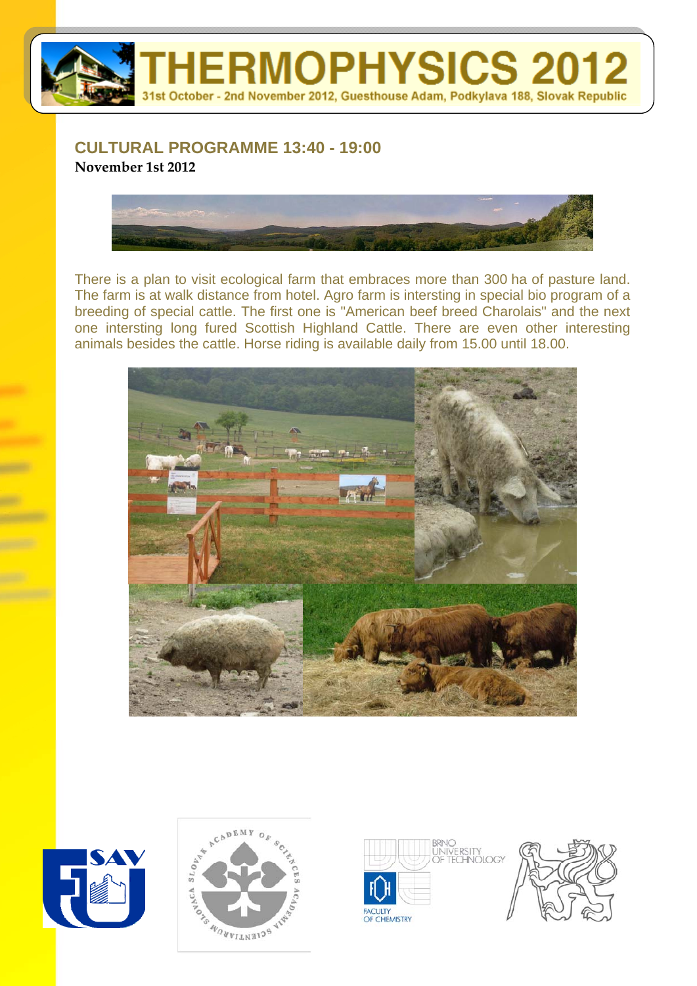

## **CULTURAL PROGRAMME 13:40 - 19:00 November 1st 2012**



There is a plan to visit ecological farm that embraces more than 300 ha of pasture land. The farm is at walk distance from hotel. Agro farm is intersting in special bio program of a breeding of special cattle. The first one is "American beef breed Charolais" and the next one intersting long fured Scottish Highland Cattle. There are even other interesting animals besides the cattle. Horse riding is available daily from 15.00 until 18.00.









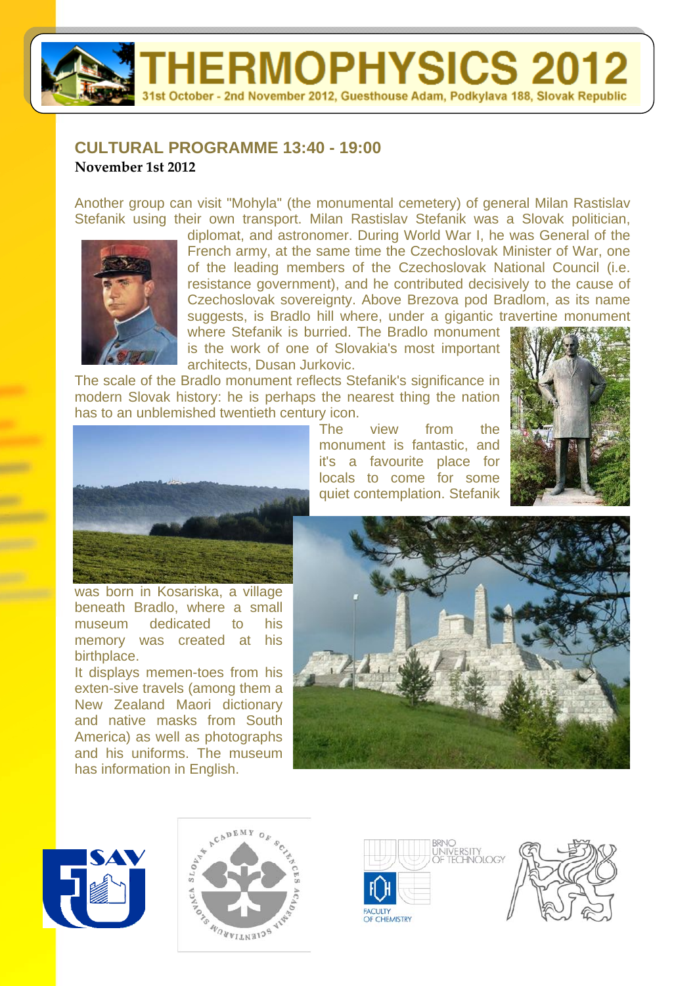**IERMOPHYSICS 2012** 1st October - 2nd November 2012, Guesthouse Adam, Podkylava 188, Slovak Republic

## **CULTURAL PROGRAMME 13:40 - 19:00 November 1st 2012**

Another group can visit "Mohyla" (the monumental cemetery) of general Milan Rastislav Stefanik using their own transport. Milan Rastislav Stefanik was a Slovak politician,



diplomat, and astronomer. During World War I, he was General of the French army, at the same time the Czechoslovak Minister of War, one of the leading members of the Czechoslovak National Council (i.e. resistance government), and he contributed decisively to the cause of Czechoslovak sovereignty. Above Brezova pod Bradlom, as its name suggests, is Bradlo hill where, under a gigantic travertine monument where Stefanik is burried. The Bradlo monument

> The view from the monument is fantastic, and it's a favourite place for

is the work of one of Slovakia's most important architects, Dusan Jurkovic.

The scale of the Bradlo monument reflects Stefanik's significance in modern Slovak history: he is perhaps the nearest thing the nation has to an unblemished twentieth century icon.



was born in Kosariska, a village beneath Bradlo, where a small museum dedicated to his memory was created at his birthplace.

It displays memen-toes from his exten-sive travels (among them a New Zealand Maori dictionary and native masks from South America) as well as photographs and his uniforms. The museum has information in English.









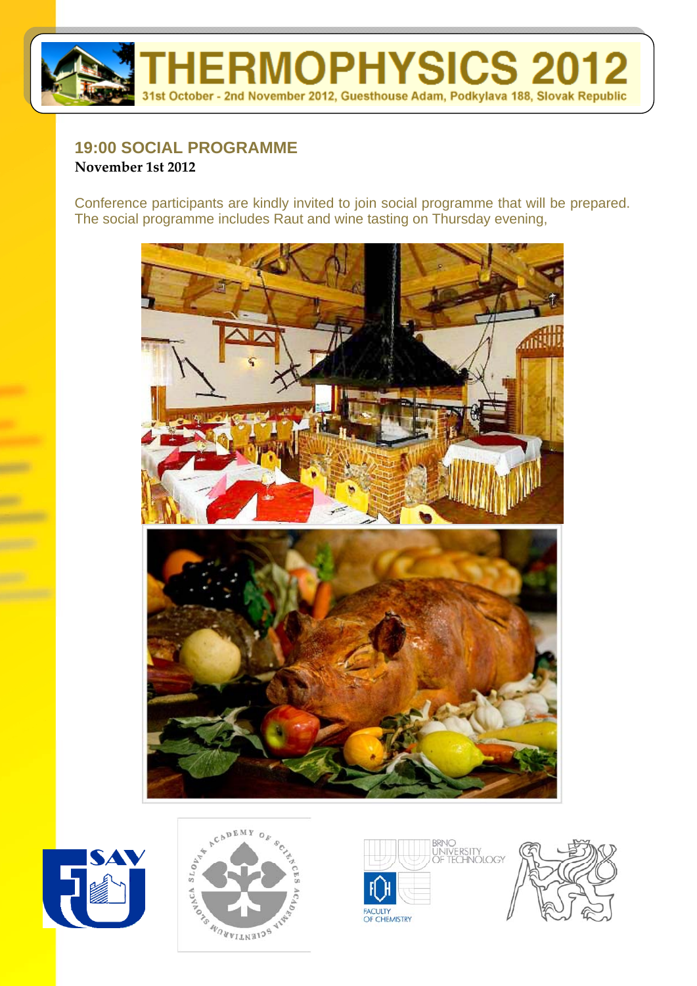

## **19:00 SOCIAL PROGRAMME November 1st 2012**

Conference participants are kindly invited to join social programme that will be prepared. The social programme includes Raut and wine tasting on Thursday evening,